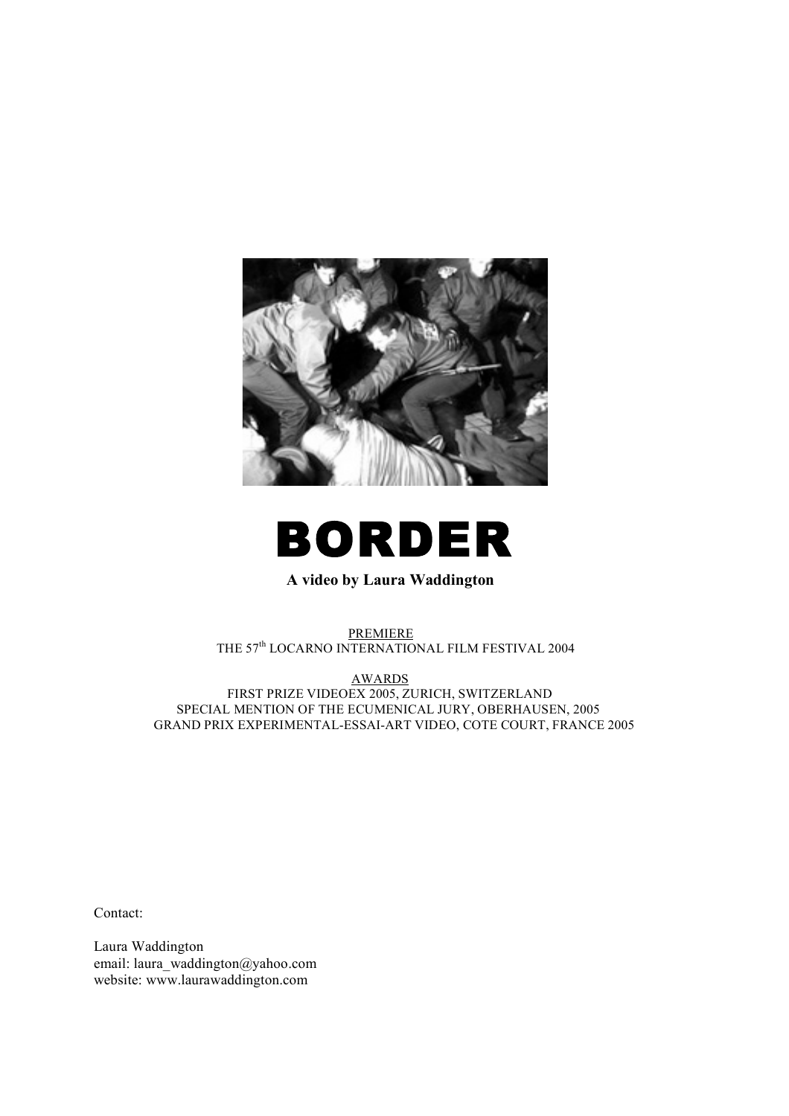



# **A video by Laura Waddington**

PREMIERE THE 57th LOCARNO INTERNATIONAL FILM FESTIVAL 2004

AWARDS FIRST PRIZE VIDEOEX 2005, ZURICH, SWITZERLAND SPECIAL MENTION OF THE ECUMENICAL JURY, OBERHAUSEN, 2005 GRAND PRIX EXPERIMENTAL-ESSAI-ART VIDEO, COTE COURT, FRANCE 2005

Contact:

Laura Waddington email: laura\_waddington@yahoo.com website: www.laurawaddington.com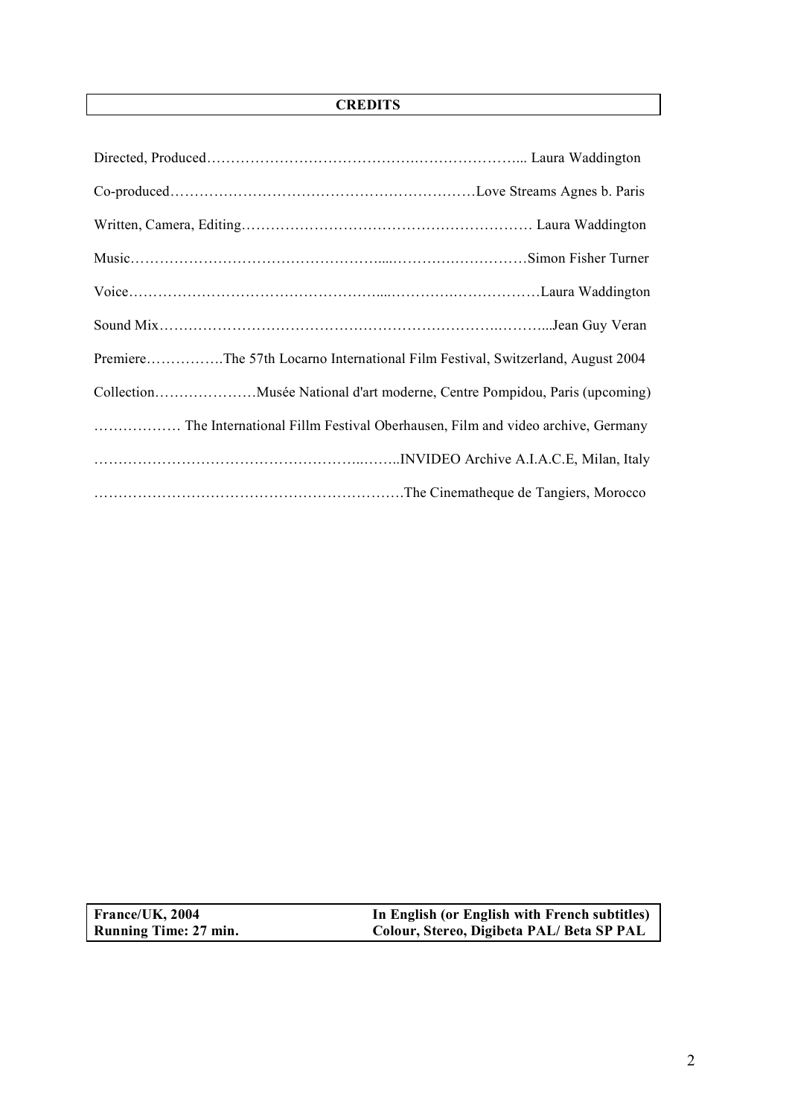# **CREDITS**

| PremiereThe 57th Locarno International Film Festival, Switzerland, August 2004 |
|--------------------------------------------------------------------------------|
|                                                                                |
|                                                                                |
|                                                                                |
|                                                                                |

**France/UK, 2004 In English (or English with French subtitles) Running Time: 27 min. Colour, Stereo, Digibeta PAL/ Beta SP PAL**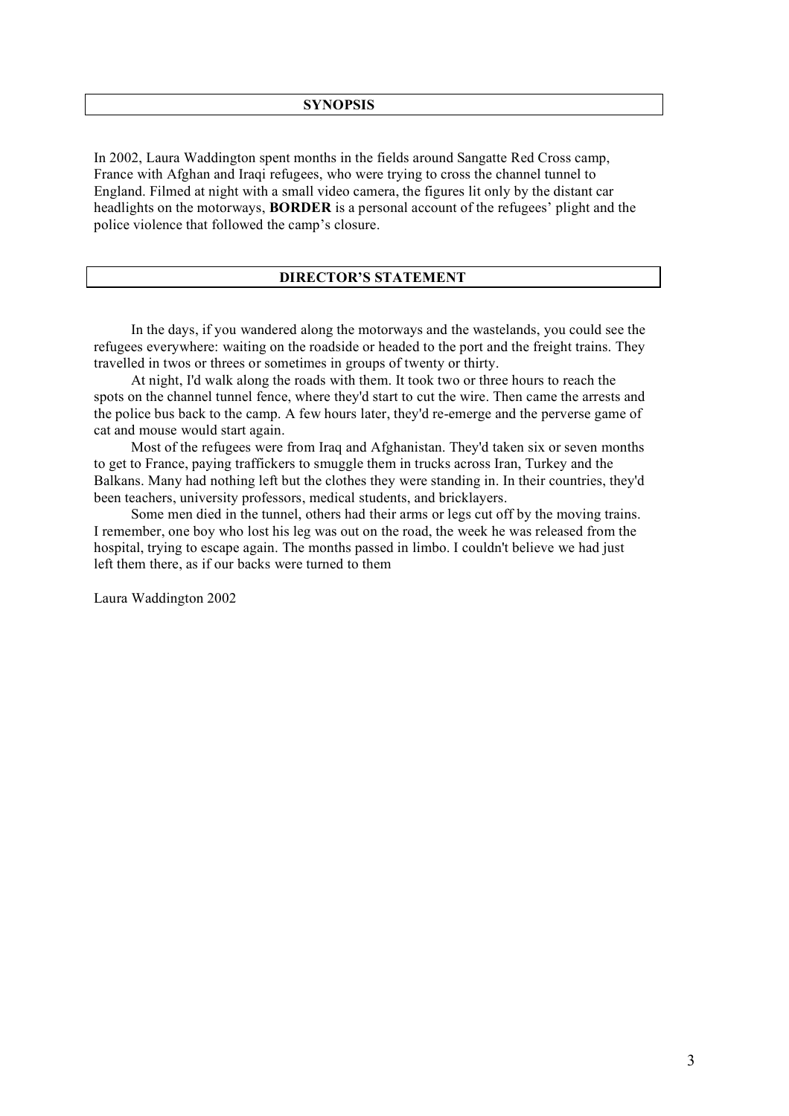#### **SYNOPSIS**

In 2002, Laura Waddington spent months in the fields around Sangatte Red Cross camp, France with Afghan and Iraqi refugees, who were trying to cross the channel tunnel to England. Filmed at night with a small video camera, the figures lit only by the distant car headlights on the motorways, **BORDER** is a personal account of the refugees' plight and the police violence that followed the camp's closure.

## **DIRECTOR'S STATEMENT**

In the days, if you wandered along the motorways and the wastelands, you could see the refugees everywhere: waiting on the roadside or headed to the port and the freight trains. They travelled in twos or threes or sometimes in groups of twenty or thirty.

At night, I'd walk along the roads with them. It took two or three hours to reach the spots on the channel tunnel fence, where they'd start to cut the wire. Then came the arrests and the police bus back to the camp. A few hours later, they'd re-emerge and the perverse game of cat and mouse would start again.

Most of the refugees were from Iraq and Afghanistan. They'd taken six or seven months to get to France, paying traffickers to smuggle them in trucks across Iran, Turkey and the Balkans. Many had nothing left but the clothes they were standing in. In their countries, they'd been teachers, university professors, medical students, and bricklayers.

Some men died in the tunnel, others had their arms or legs cut off by the moving trains. I remember, one boy who lost his leg was out on the road, the week he was released from the hospital, trying to escape again. The months passed in limbo. I couldn't believe we had just left them there, as if our backs were turned to them

Laura Waddington 2002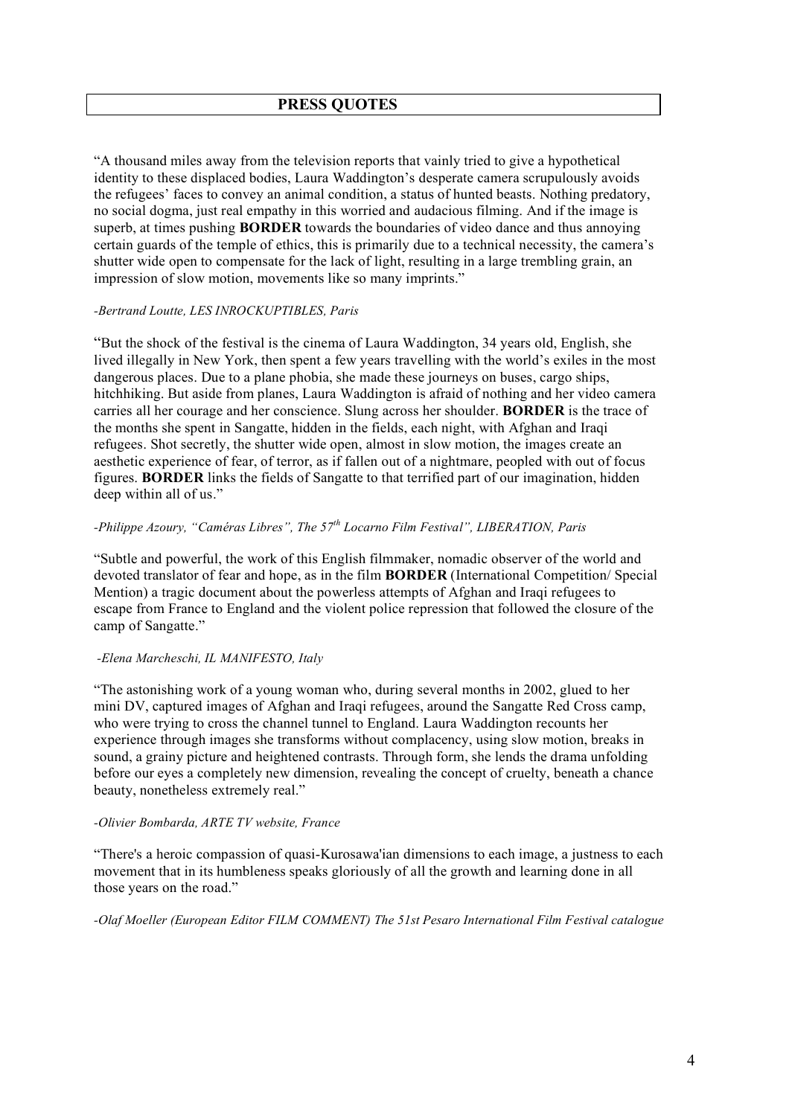## **PRESS QUOTES**

"A thousand miles away from the television reports that vainly tried to give a hypothetical identity to these displaced bodies, Laura Waddington's desperate camera scrupulously avoids the refugees' faces to convey an animal condition, a status of hunted beasts. Nothing predatory, no social dogma, just real empathy in this worried and audacious filming. And if the image is superb, at times pushing **BORDER** towards the boundaries of video dance and thus annoying certain guards of the temple of ethics, this is primarily due to a technical necessity, the camera's shutter wide open to compensate for the lack of light, resulting in a large trembling grain, an impression of slow motion, movements like so many imprints."

### *-Bertrand Loutte, LES INROCKUPTIBLES, Paris*

"But the shock of the festival is the cinema of Laura Waddington, 34 years old, English, she lived illegally in New York, then spent a few years travelling with the world's exiles in the most dangerous places. Due to a plane phobia, she made these journeys on buses, cargo ships, hitchhiking. But aside from planes, Laura Waddington is afraid of nothing and her video camera carries all her courage and her conscience. Slung across her shoulder. **BORDER** is the trace of the months she spent in Sangatte, hidden in the fields, each night, with Afghan and Iraqi refugees. Shot secretly, the shutter wide open, almost in slow motion, the images create an aesthetic experience of fear, of terror, as if fallen out of a nightmare, peopled with out of focus figures. **BORDER** links the fields of Sangatte to that terrified part of our imagination, hidden deep within all of us."

## *-Philippe Azoury, "Caméras Libres", The 57th Locarno Film Festival", LIBERATION, Paris*

"Subtle and powerful, the work of this English filmmaker, nomadic observer of the world and devoted translator of fear and hope, as in the film **BORDER** (International Competition/ Special Mention) a tragic document about the powerless attempts of Afghan and Iraqi refugees to escape from France to England and the violent police repression that followed the closure of the camp of Sangatte."

### *-Elena Marcheschi, IL MANIFESTO, Italy*

"The astonishing work of a young woman who, during several months in 2002, glued to her mini DV, captured images of Afghan and Iraqi refugees, around the Sangatte Red Cross camp, who were trying to cross the channel tunnel to England. Laura Waddington recounts her experience through images she transforms without complacency, using slow motion, breaks in sound, a grainy picture and heightened contrasts. Through form, she lends the drama unfolding before our eyes a completely new dimension, revealing the concept of cruelty, beneath a chance beauty, nonetheless extremely real."

### *-Olivier Bombarda, ARTE TV website, France*

"There's a heroic compassion of quasi-Kurosawa'ian dimensions to each image, a justness to each movement that in its humbleness speaks gloriously of all the growth and learning done in all those years on the road."

*-Olaf Moeller (European Editor FILM COMMENT) The 51st Pesaro International Film Festival catalogue*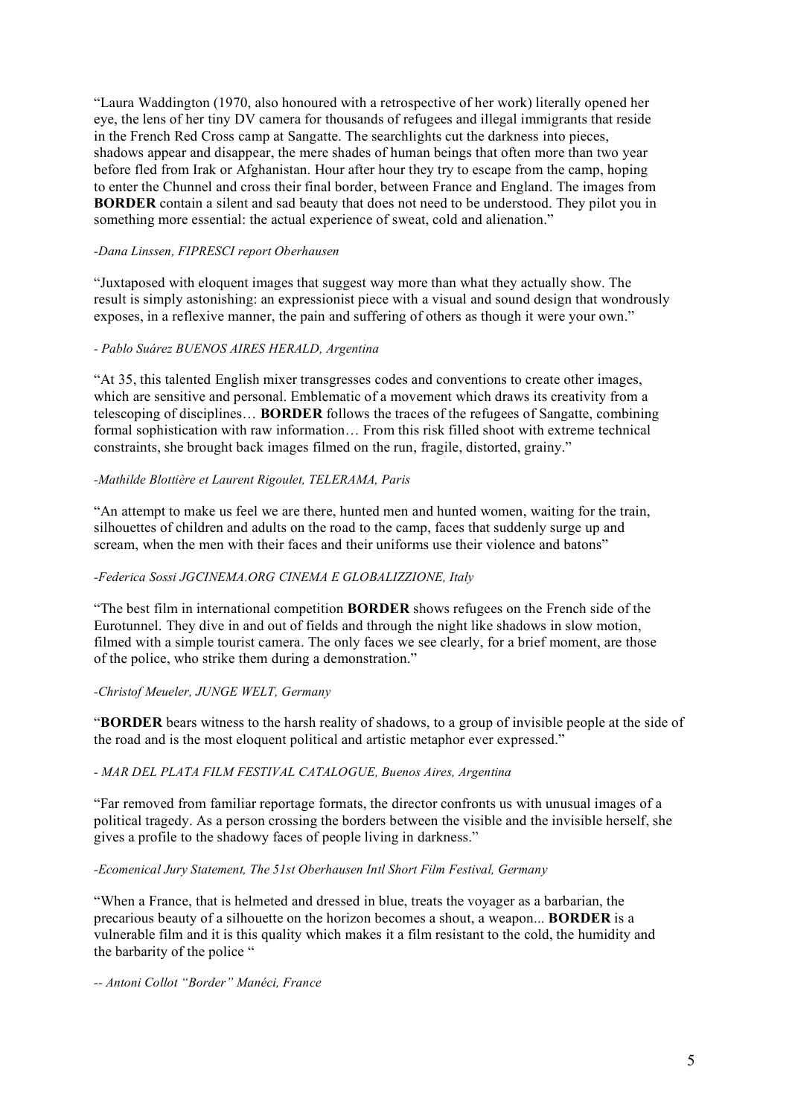"Laura Waddington (1970, also honoured with a retrospective of her work) literally opened her eye, the lens of her tiny DV camera for thousands of refugees and illegal immigrants that reside in the French Red Cross camp at Sangatte. The searchlights cut the darkness into pieces, shadows appear and disappear, the mere shades of human beings that often more than two year before fled from Irak or Afghanistan. Hour after hour they try to escape from the camp, hoping to enter the Chunnel and cross their final border, between France and England. The images from **BORDER** contain a silent and sad beauty that does not need to be understood. They pilot you in something more essential: the actual experience of sweat, cold and alienation."

### *-Dana Linssen, FIPRESCI report Oberhausen*

"Juxtaposed with eloquent images that suggest way more than what they actually show. The result is simply astonishing: an expressionist piece with a visual and sound design that wondrously exposes, in a reflexive manner, the pain and suffering of others as though it were your own."

### *- Pablo Suárez BUENOS AIRES HERALD, Argentina*

"At 35, this talented English mixer transgresses codes and conventions to create other images, which are sensitive and personal. Emblematic of a movement which draws its creativity from a telescoping of disciplines… **BORDER** follows the traces of the refugees of Sangatte, combining formal sophistication with raw information… From this risk filled shoot with extreme technical constraints, she brought back images filmed on the run, fragile, distorted, grainy."

### *-Mathilde Blottière et Laurent Rigoulet, TELERAMA, Paris*

"An attempt to make us feel we are there, hunted men and hunted women, waiting for the train, silhouettes of children and adults on the road to the camp, faces that suddenly surge up and scream, when the men with their faces and their uniforms use their violence and batons"

## *-Federica Sossi JGCINEMA.ORG CINEMA E GLOBALIZZIONE, Italy*

"The best film in international competition **BORDER** shows refugees on the French side of the Eurotunnel. They dive in and out of fields and through the night like shadows in slow motion, filmed with a simple tourist camera. The only faces we see clearly, for a brief moment, are those of the police, who strike them during a demonstration."

### *-Christof Meueler, JUNGE WELT, Germany*

"**BORDER** bears witness to the harsh reality of shadows, to a group of invisible people at the side of the road and is the most eloquent political and artistic metaphor ever expressed."

### *- MAR DEL PLATA FILM FESTIVAL CATALOGUE, Buenos Aires, Argentina*

"Far removed from familiar reportage formats, the director confronts us with unusual images of a political tragedy. As a person crossing the borders between the visible and the invisible herself, she gives a profile to the shadowy faces of people living in darkness."

### *-Ecomenical Jury Statement, The 51st Oberhausen Intl Short Film Festival, Germany*

"When a France, that is helmeted and dressed in blue, treats the voyager as a barbarian, the precarious beauty of a silhouette on the horizon becomes a shout, a weapon... **BORDER** is a vulnerable film and it is this quality which makes it a film resistant to the cold, the humidity and the barbarity of the police "

*-- Antoni Collot "Border" Manéci, France*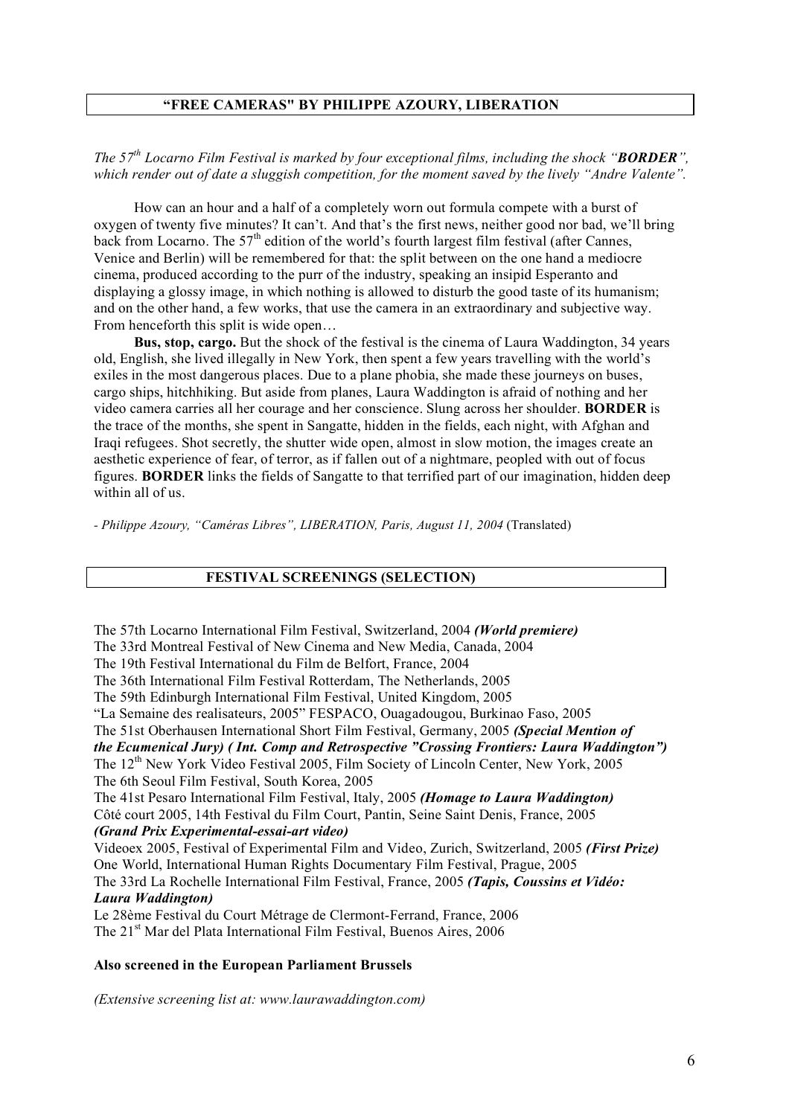## **"FREE CAMERAS" BY PHILIPPE AZOURY, LIBERATION**

*The 57th Locarno Film Festival is marked by four exceptional films, including the shock "BORDER", which render out of date a sluggish competition, for the moment saved by the lively "Andre Valente".*

How can an hour and a half of a completely worn out formula compete with a burst of oxygen of twenty five minutes? It can't. And that's the first news, neither good nor bad, we'll bring back from Locarno. The 57<sup>th</sup> edition of the world's fourth largest film festival (after Cannes, Venice and Berlin) will be remembered for that: the split between on the one hand a mediocre cinema, produced according to the purr of the industry, speaking an insipid Esperanto and displaying a glossy image, in which nothing is allowed to disturb the good taste of its humanism; and on the other hand, a few works, that use the camera in an extraordinary and subjective way. From henceforth this split is wide open...

**Bus, stop, cargo.** But the shock of the festival is the cinema of Laura Waddington, 34 years old, English, she lived illegally in New York, then spent a few years travelling with the world's exiles in the most dangerous places. Due to a plane phobia, she made these journeys on buses, cargo ships, hitchhiking. But aside from planes, Laura Waddington is afraid of nothing and her video camera carries all her courage and her conscience. Slung across her shoulder. **BORDER** is the trace of the months, she spent in Sangatte, hidden in the fields, each night, with Afghan and Iraqi refugees. Shot secretly, the shutter wide open, almost in slow motion, the images create an aesthetic experience of fear, of terror, as if fallen out of a nightmare, peopled with out of focus figures. **BORDER** links the fields of Sangatte to that terrified part of our imagination, hidden deep within all of us.

*- Philippe Azoury, "Caméras Libres", LIBERATION, Paris, August 11, 2004* (Translated)

## **FESTIVAL SCREENINGS (SELECTION)**

The 57th Locarno International Film Festival, Switzerland, 2004 *(World premiere)*

The 33rd Montreal Festival of New Cinema and New Media, Canada, 2004

The 19th Festival International du Film de Belfort, France, 2004

The 36th International Film Festival Rotterdam, The Netherlands, 2005

The 59th Edinburgh International Film Festival, United Kingdom, 2005

"La Semaine des realisateurs, 2005" FESPACO, Ouagadougou, Burkinao Faso, 2005

The 51st Oberhausen International Short Film Festival, Germany, 2005 *(Special Mention of*

*the Ecumenical Jury) ( Int. Comp and Retrospective "Crossing Frontiers: Laura Waddington")*

The 12<sup>th</sup> New York Video Festival 2005, Film Society of Lincoln Center, New York, 2005 The 6th Seoul Film Festival, South Korea, 2005

The 41st Pesaro International Film Festival, Italy, 2005 *(Homage to Laura Waddington)*

Côté court 2005, 14th Festival du Film Court, Pantin, Seine Saint Denis, France, 2005 *(Grand Prix Experimental-essai-art video)*

Videoex 2005, Festival of Experimental Film and Video, Zurich, Switzerland, 2005 *(First Prize)* One World, International Human Rights Documentary Film Festival, Prague, 2005

The 33rd La Rochelle International Film Festival, France, 2005 *(Tapis, Coussins et Vidéo: Laura Waddington)*

Le 28ème Festival du Court Métrage de Clermont-Ferrand, France, 2006 The 21<sup>st</sup> Mar del Plata International Film Festival, Buenos Aires, 2006

### **Also screened in the European Parliament Brussels**

*(Extensive screening list at: www.laurawaddington.com)*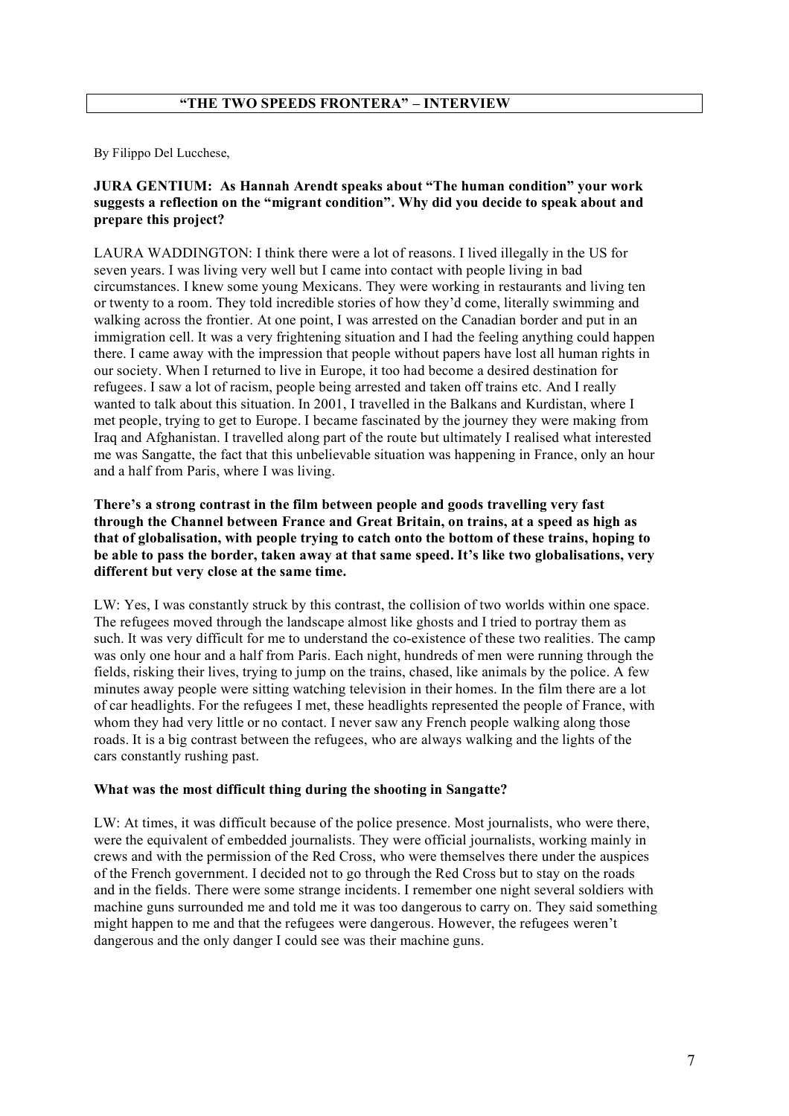By Filippo Del Lucchese,

## **JURA GENTIUM: As Hannah Arendt speaks about "The human condition" your work suggests a reflection on the "migrant condition". Why did you decide to speak about and prepare this project?**

LAURA WADDINGTON: I think there were a lot of reasons. I lived illegally in the US for seven years. I was living very well but I came into contact with people living in bad circumstances. I knew some young Mexicans. They were working in restaurants and living ten or twenty to a room. They told incredible stories of how they'd come, literally swimming and walking across the frontier. At one point, I was arrested on the Canadian border and put in an immigration cell. It was a very frightening situation and I had the feeling anything could happen there. I came away with the impression that people without papers have lost all human rights in our society. When I returned to live in Europe, it too had become a desired destination for refugees. I saw a lot of racism, people being arrested and taken off trains etc. And I really wanted to talk about this situation. In 2001, I travelled in the Balkans and Kurdistan, where I met people, trying to get to Europe. I became fascinated by the journey they were making from Iraq and Afghanistan. I travelled along part of the route but ultimately I realised what interested me was Sangatte, the fact that this unbelievable situation was happening in France, only an hour and a half from Paris, where I was living.

## **There's a strong contrast in the film between people and goods travelling very fast through the Channel between France and Great Britain, on trains, at a speed as high as that of globalisation, with people trying to catch onto the bottom of these trains, hoping to be able to pass the border, taken away at that same speed. It's like two globalisations, very different but very close at the same time.**

LW: Yes, I was constantly struck by this contrast, the collision of two worlds within one space. The refugees moved through the landscape almost like ghosts and I tried to portray them as such. It was very difficult for me to understand the co-existence of these two realities. The camp was only one hour and a half from Paris. Each night, hundreds of men were running through the fields, risking their lives, trying to jump on the trains, chased, like animals by the police. A few minutes away people were sitting watching television in their homes. In the film there are a lot of car headlights. For the refugees I met, these headlights represented the people of France, with whom they had very little or no contact. I never saw any French people walking along those roads. It is a big contrast between the refugees, who are always walking and the lights of the cars constantly rushing past.

## **What was the most difficult thing during the shooting in Sangatte?**

LW: At times, it was difficult because of the police presence. Most journalists, who were there, were the equivalent of embedded journalists. They were official journalists, working mainly in crews and with the permission of the Red Cross, who were themselves there under the auspices of the French government. I decided not to go through the Red Cross but to stay on the roads and in the fields. There were some strange incidents. I remember one night several soldiers with machine guns surrounded me and told me it was too dangerous to carry on. They said something might happen to me and that the refugees were dangerous. However, the refugees weren't dangerous and the only danger I could see was their machine guns.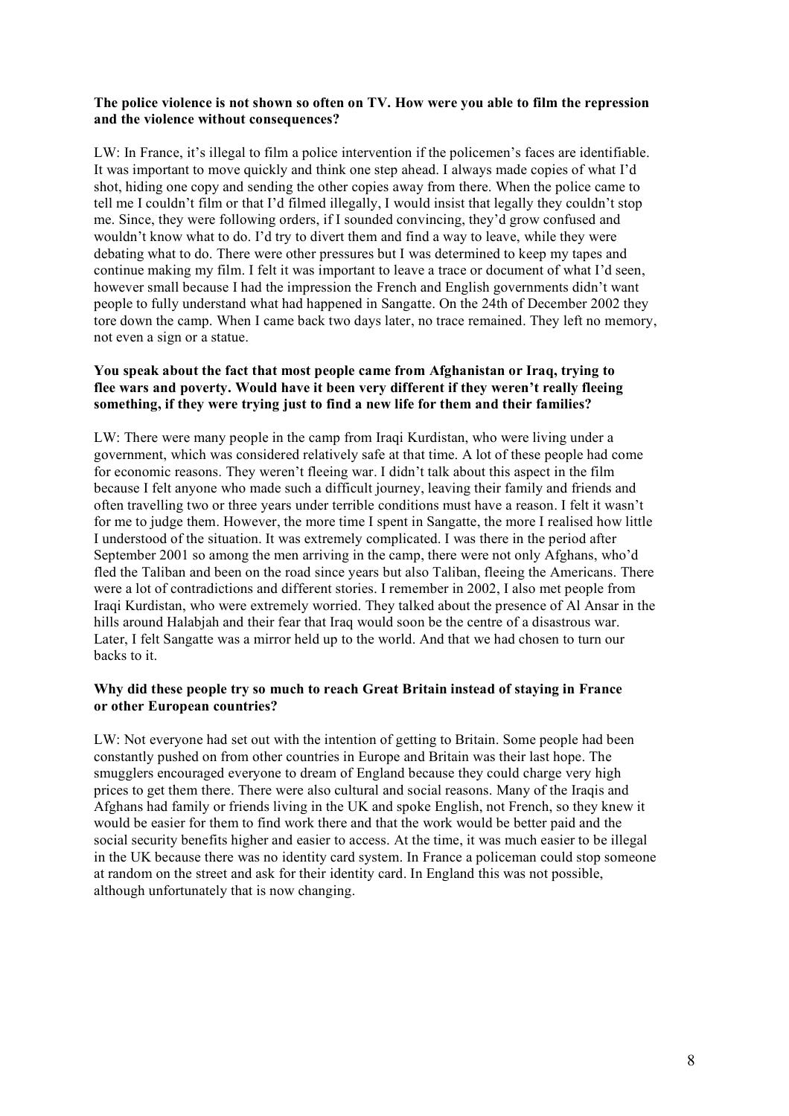## **The police violence is not shown so often on TV. How were you able to film the repression and the violence without consequences?**

LW: In France, it's illegal to film a police intervention if the policemen's faces are identifiable. It was important to move quickly and think one step ahead. I always made copies of what I'd shot, hiding one copy and sending the other copies away from there. When the police came to tell me I couldn't film or that I'd filmed illegally, I would insist that legally they couldn't stop me. Since, they were following orders, if I sounded convincing, they'd grow confused and wouldn't know what to do. I'd try to divert them and find a way to leave, while they were debating what to do. There were other pressures but I was determined to keep my tapes and continue making my film. I felt it was important to leave a trace or document of what I'd seen, however small because I had the impression the French and English governments didn't want people to fully understand what had happened in Sangatte. On the 24th of December 2002 they tore down the camp. When I came back two days later, no trace remained. They left no memory, not even a sign or a statue.

## **You speak about the fact that most people came from Afghanistan or Iraq, trying to flee wars and poverty. Would have it been very different if they weren't really fleeing something, if they were trying just to find a new life for them and their families?**

LW: There were many people in the camp from Iraqi Kurdistan, who were living under a government, which was considered relatively safe at that time. A lot of these people had come for economic reasons. They weren't fleeing war. I didn't talk about this aspect in the film because I felt anyone who made such a difficult journey, leaving their family and friends and often travelling two or three years under terrible conditions must have a reason. I felt it wasn't for me to judge them. However, the more time I spent in Sangatte, the more I realised how little I understood of the situation. It was extremely complicated. I was there in the period after September 2001 so among the men arriving in the camp, there were not only Afghans, who'd fled the Taliban and been on the road since years but also Taliban, fleeing the Americans. There were a lot of contradictions and different stories. I remember in 2002, I also met people from Iraqi Kurdistan, who were extremely worried. They talked about the presence of Al Ansar in the hills around Halabjah and their fear that Iraq would soon be the centre of a disastrous war. Later, I felt Sangatte was a mirror held up to the world. And that we had chosen to turn our backs to it.

## **Why did these people try so much to reach Great Britain instead of staying in France or other European countries?**

LW: Not everyone had set out with the intention of getting to Britain. Some people had been constantly pushed on from other countries in Europe and Britain was their last hope. The smugglers encouraged everyone to dream of England because they could charge very high prices to get them there. There were also cultural and social reasons. Many of the Iraqis and Afghans had family or friends living in the UK and spoke English, not French, so they knew it would be easier for them to find work there and that the work would be better paid and the social security benefits higher and easier to access. At the time, it was much easier to be illegal in the UK because there was no identity card system. In France a policeman could stop someone at random on the street and ask for their identity card. In England this was not possible, although unfortunately that is now changing.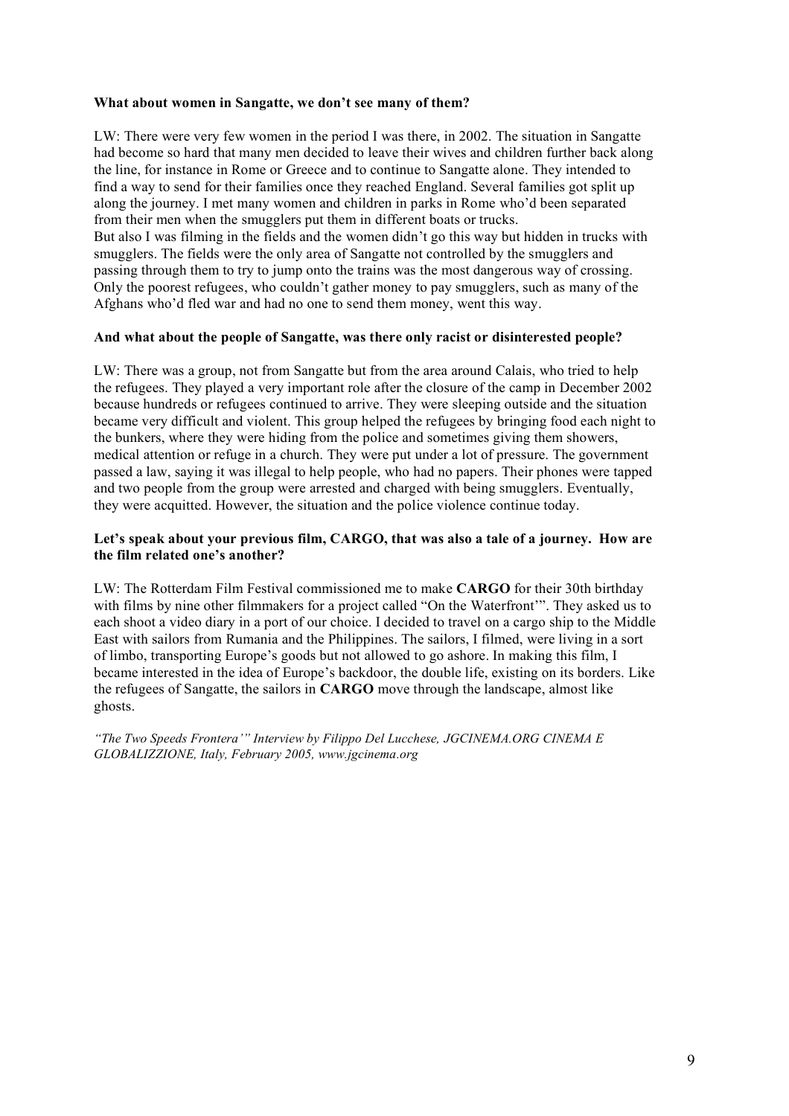## **What about women in Sangatte, we don't see many of them?**

LW: There were very few women in the period I was there, in 2002. The situation in Sangatte had become so hard that many men decided to leave their wives and children further back along the line, for instance in Rome or Greece and to continue to Sangatte alone. They intended to find a way to send for their families once they reached England. Several families got split up along the journey. I met many women and children in parks in Rome who'd been separated from their men when the smugglers put them in different boats or trucks. But also I was filming in the fields and the women didn't go this way but hidden in trucks with

smugglers. The fields were the only area of Sangatte not controlled by the smugglers and passing through them to try to jump onto the trains was the most dangerous way of crossing. Only the poorest refugees, who couldn't gather money to pay smugglers, such as many of the Afghans who'd fled war and had no one to send them money, went this way.

## **And what about the people of Sangatte, was there only racist or disinterested people?**

LW: There was a group, not from Sangatte but from the area around Calais, who tried to help the refugees. They played a very important role after the closure of the camp in December 2002 because hundreds or refugees continued to arrive. They were sleeping outside and the situation became very difficult and violent. This group helped the refugees by bringing food each night to the bunkers, where they were hiding from the police and sometimes giving them showers, medical attention or refuge in a church. They were put under a lot of pressure. The government passed a law, saying it was illegal to help people, who had no papers. Their phones were tapped and two people from the group were arrested and charged with being smugglers. Eventually, they were acquitted. However, the situation and the police violence continue today.

## **Let's speak about your previous film, CARGO, that was also a tale of a journey. How are the film related one's another?**

LW: The Rotterdam Film Festival commissioned me to make **CARGO** for their 30th birthday with films by nine other filmmakers for a project called "On the Waterfront'". They asked us to each shoot a video diary in a port of our choice. I decided to travel on a cargo ship to the Middle East with sailors from Rumania and the Philippines. The sailors, I filmed, were living in a sort of limbo, transporting Europe's goods but not allowed to go ashore. In making this film, I became interested in the idea of Europe's backdoor, the double life, existing on its borders. Like the refugees of Sangatte, the sailors in **CARGO** move through the landscape, almost like ghosts.

*"The Two Speeds Frontera'" Interview by Filippo Del Lucchese, JGCINEMA.ORG CINEMA E GLOBALIZZIONE, Italy, February 2005, www.jgcinema.org*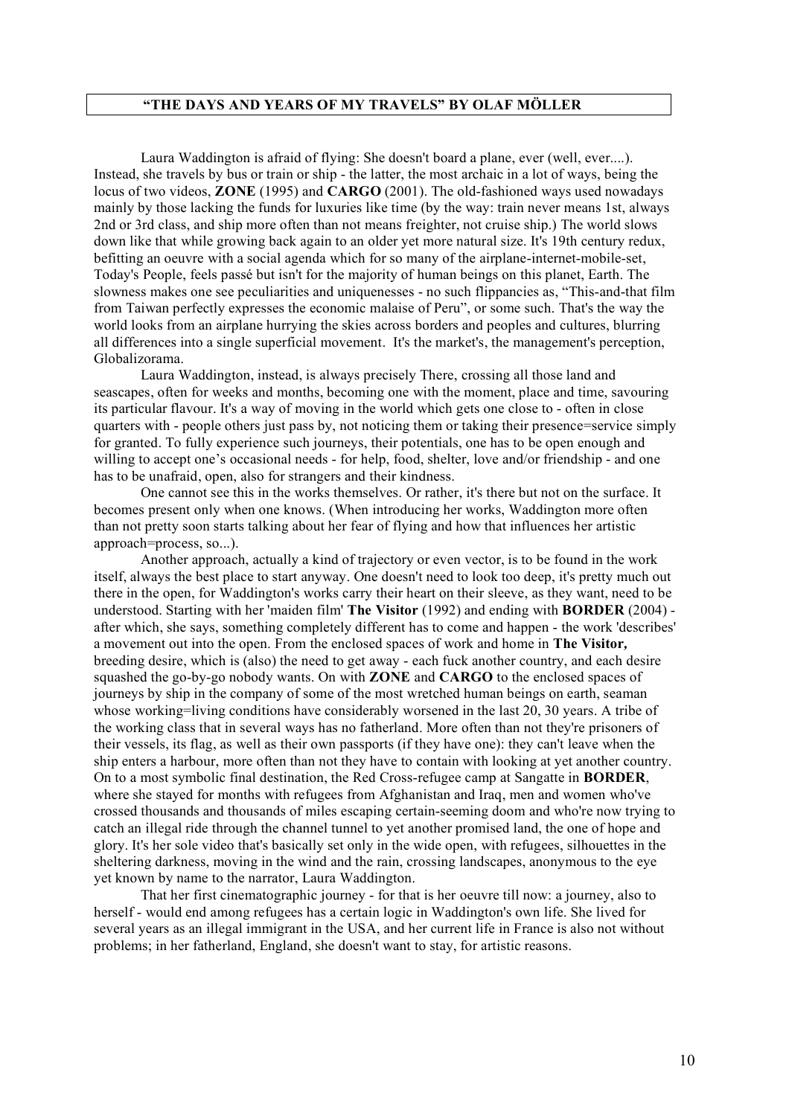### **"THE DAYS AND YEARS OF MY TRAVELS" BY OLAF MÖLLER**

Laura Waddington is afraid of flying: She doesn't board a plane, ever (well, ever....). Instead, she travels by bus or train or ship - the latter, the most archaic in a lot of ways, being the locus of two videos, **ZONE** (1995) and **CARGO** (2001). The old-fashioned ways used nowadays mainly by those lacking the funds for luxuries like time (by the way: train never means 1st, always 2nd or 3rd class, and ship more often than not means freighter, not cruise ship.) The world slows down like that while growing back again to an older yet more natural size. It's 19th century redux, befitting an oeuvre with a social agenda which for so many of the airplane-internet-mobile-set, Today's People, feels passé but isn't for the majority of human beings on this planet, Earth. The slowness makes one see peculiarities and uniquenesses - no such flippancies as, "This-and-that film from Taiwan perfectly expresses the economic malaise of Peru", or some such. That's the way the world looks from an airplane hurrying the skies across borders and peoples and cultures, blurring all differences into a single superficial movement. It's the market's, the management's perception, Globalizorama.

Laura Waddington, instead, is always precisely There, crossing all those land and seascapes, often for weeks and months, becoming one with the moment, place and time, savouring its particular flavour. It's a way of moving in the world which gets one close to - often in close quarters with - people others just pass by, not noticing them or taking their presence=service simply for granted. To fully experience such journeys, their potentials, one has to be open enough and willing to accept one's occasional needs - for help, food, shelter, love and/or friendship - and one has to be unafraid, open, also for strangers and their kindness.

One cannot see this in the works themselves. Or rather, it's there but not on the surface. It becomes present only when one knows. (When introducing her works, Waddington more often than not pretty soon starts talking about her fear of flying and how that influences her artistic approach=process, so...).

Another approach, actually a kind of trajectory or even vector, is to be found in the work itself, always the best place to start anyway. One doesn't need to look too deep, it's pretty much out there in the open, for Waddington's works carry their heart on their sleeve, as they want, need to be understood. Starting with her 'maiden film' **The Visitor** (1992) and ending with **BORDER** (2004) after which, she says, something completely different has to come and happen - the work 'describes' a movement out into the open. From the enclosed spaces of work and home in **The Visitor***,* breeding desire, which is (also) the need to get away - each fuck another country, and each desire squashed the go-by-go nobody wants. On with **ZONE** and **CARGO** to the enclosed spaces of journeys by ship in the company of some of the most wretched human beings on earth, seaman whose working=living conditions have considerably worsened in the last 20, 30 years. A tribe of the working class that in several ways has no fatherland. More often than not they're prisoners of their vessels, its flag, as well as their own passports (if they have one): they can't leave when the ship enters a harbour, more often than not they have to contain with looking at yet another country. On to a most symbolic final destination, the Red Cross-refugee camp at Sangatte in **BORDER**, where she stayed for months with refugees from Afghanistan and Iraq, men and women who've crossed thousands and thousands of miles escaping certain-seeming doom and who're now trying to catch an illegal ride through the channel tunnel to yet another promised land, the one of hope and glory. It's her sole video that's basically set only in the wide open, with refugees, silhouettes in the sheltering darkness, moving in the wind and the rain, crossing landscapes, anonymous to the eye yet known by name to the narrator, Laura Waddington.

That her first cinematographic journey - for that is her oeuvre till now: a journey, also to herself - would end among refugees has a certain logic in Waddington's own life. She lived for several years as an illegal immigrant in the USA, and her current life in France is also not without problems; in her fatherland, England, she doesn't want to stay, for artistic reasons.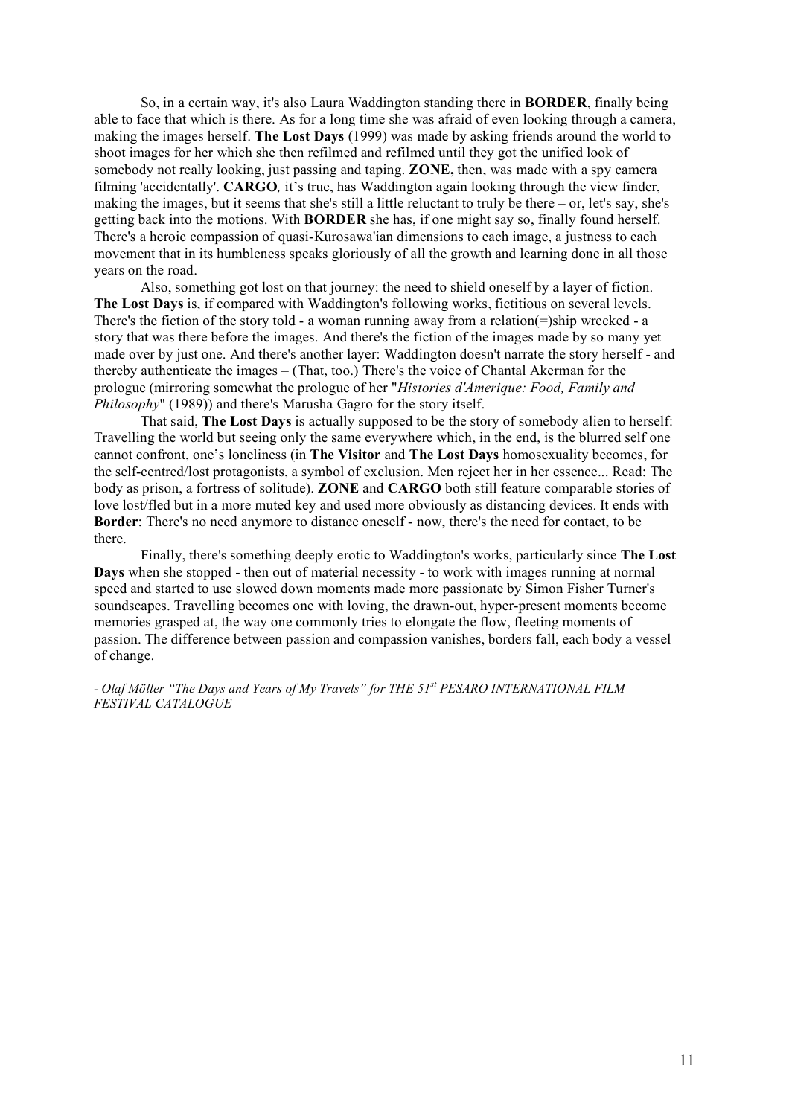So, in a certain way, it's also Laura Waddington standing there in **BORDER**, finally being able to face that which is there. As for a long time she was afraid of even looking through a camera, making the images herself. **The Lost Days** (1999) was made by asking friends around the world to shoot images for her which she then refilmed and refilmed until they got the unified look of somebody not really looking, just passing and taping. **ZONE,** then, was made with a spy camera filming 'accidentally'. **CARGO***,* it's true, has Waddington again looking through the view finder, making the images, but it seems that she's still a little reluctant to truly be there – or, let's say, she's getting back into the motions. With **BORDER** she has, if one might say so, finally found herself. There's a heroic compassion of quasi-Kurosawa'ian dimensions to each image, a justness to each movement that in its humbleness speaks gloriously of all the growth and learning done in all those years on the road.

Also, something got lost on that journey: the need to shield oneself by a layer of fiction. **The Lost Days** is, if compared with Waddington's following works, fictitious on several levels. There's the fiction of the story told - a woman running away from a relation(=)ship wrecked - a story that was there before the images. And there's the fiction of the images made by so many yet made over by just one. And there's another layer: Waddington doesn't narrate the story herself - and thereby authenticate the images – (That, too.) There's the voice of Chantal Akerman for the prologue (mirroring somewhat the prologue of her "*Histories d'Amerique: Food, Family and Philosophy*" (1989)) and there's Marusha Gagro for the story itself.

That said, **The Lost Days** is actually supposed to be the story of somebody alien to herself: Travelling the world but seeing only the same everywhere which, in the end, is the blurred self one cannot confront, one's loneliness (in **The Visitor** and **The Lost Days** homosexuality becomes, for the self-centred/lost protagonists, a symbol of exclusion. Men reject her in her essence... Read: The body as prison, a fortress of solitude). **ZONE** and **CARGO** both still feature comparable stories of love lost/fled but in a more muted key and used more obviously as distancing devices. It ends with **Border**: There's no need anymore to distance oneself - now, there's the need for contact, to be there.

Finally, there's something deeply erotic to Waddington's works, particularly since **The Lost Days** when she stopped - then out of material necessity - to work with images running at normal speed and started to use slowed down moments made more passionate by Simon Fisher Turner's soundscapes. Travelling becomes one with loving, the drawn-out, hyper-present moments become memories grasped at, the way one commonly tries to elongate the flow, fleeting moments of passion. The difference between passion and compassion vanishes, borders fall, each body a vessel of change.

*- Olaf Möller "The Days and Years of My Travels" for THE 51st PESARO INTERNATIONAL FILM FESTIVAL CATALOGUE*